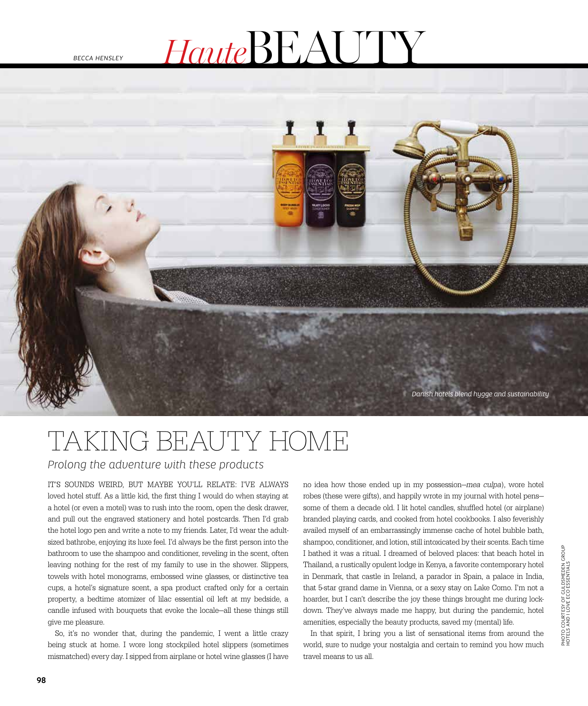# BECCA HENSLEY **Haute**BEAUT



## TAKING BEAUTY HOME

### *Prolong the adventure with these products*

IT'S SOUNDS WEIRD, BUT MAYBE YOU'LL RELATE: I'VE ALWAYS loved hotel stuff. As a little kid, the first thing I would do when staying at a hotel (or even a motel) was to rush into the room, open the desk drawer, and pull out the engraved stationery and hotel postcards. Then I'd grab the hotel logo pen and write a note to my friends. Later, I'd wear the adultsized bathrobe, enjoying its luxe feel. I'd always be the first person into the bathroom to use the shampoo and conditioner, reveling in the scent, often leaving nothing for the rest of my family to use in the shower. Slippers, towels with hotel monograms, embossed wine glasses, or distinctive tea cups, a hotel's signature scent, a spa product crafted only for a certain property, a bedtime atomizer of lilac essential oil left at my bedside, a candle infused with bouquets that evoke the locale—all these things still give me pleasure.

So, it's no wonder that, during the pandemic, I went a little crazy being stuck at home. I wore long stockpiled hotel slippers (sometimes mismatched) every day. I sipped from airplane or hotel wine glasses (I have

no idea how those ended up in my possession—mea culpa), wore hotel robes (these were gifts), and happily wrote in my journal with hotel pens some of them a decade old. I lit hotel candles, shuffled hotel (or airplane) branded playing cards, and cooked from hotel cookbooks. I also feverishly availed myself of an embarrassingly immense cache of hotel bubble bath, shampoo, conditioner, and lotion, still intoxicated by their scents. Each time I bathed it was a ritual. I dreamed of beloved places: that beach hotel in Thailand, a rustically opulent lodge in Kenya, a favorite contemporary hotel in Denmark, that castle in Ireland, a parador in Spain, a palace in India, that 5-star grand dame in Vienna, or a sexy stay on Lake Como. I'm not a hoarder, but I can't describe the joy these things brought me during lockdown. They've always made me happy, but during the pandemic, hotel amenities, especially the beauty products, saved my (mental) life.

In that spirit, I bring you a list of sensational items from around the world, sure to nudge your nostalgia and certain to remind you how much travel means to us all.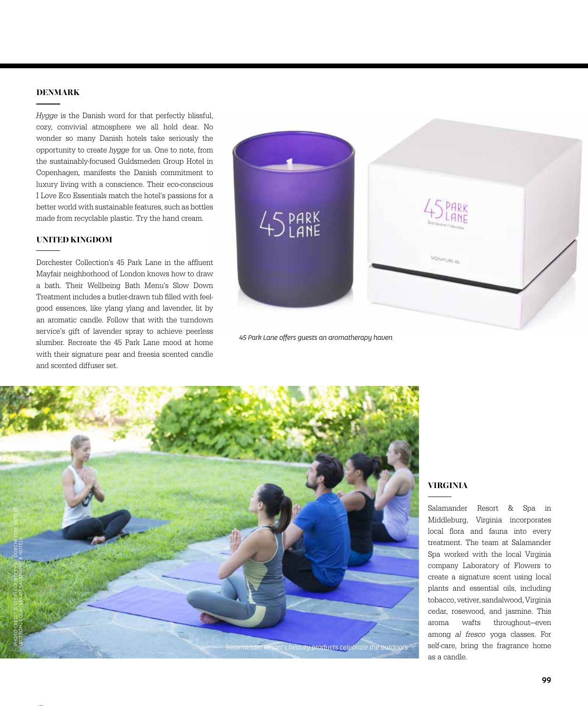### **DENMARK**

Hygge is the Danish word for that perfectly blissful, cozy, convivial atmosphere we all hold dear. No wonder so many Danish hotels take seriously the opportunity to create hygge for us. One to note, from the sustainably-focused Guldsmeden Group Hotel in Copenhagen, manifests the Danish commitment to luxury living with a conscience. Their eco-conscious I Love Eco Essentials match the hotel's passions for a better world with sustainable features, such as bottles made from recyclable plastic. Try the hand cream.

### **UNITED KINGDOM**

Dorchester Collection's 45 Park Lane in the affluent Mayfair neighborhood of London knows how to draw a bath. Their Wellbeing Bath Menu's Slow Down Treatment includes a butler-drawn tub filled with feelgood essences, like ylang ylang and lavender, lit by an aromatic candle. Follow that with the turndown service's gift of lavender spray to achieve peerless slumber. Recreate the 45 Park Lane mood at home with their signature pear and freesia scented candle and scented diffuser set.



*45 Park Lane offers guests an aromatherapy haven*



### **VIRGINIA**

Salamander Resort & Spa in Middleburg, Virginia incorporates local flora and fauna into every treatment. The team at Salamander Spa worked with the local Virginia company Laboratory of Flowers to create a signature scent using local plants and essential oils, including tobacco, vetiver, sandalwood, Virginia cedar, rosewood, and jasmine. This aroma wafts throughout—even among al fresco yoga classes. For self-care, bring the fragrance home as a candle.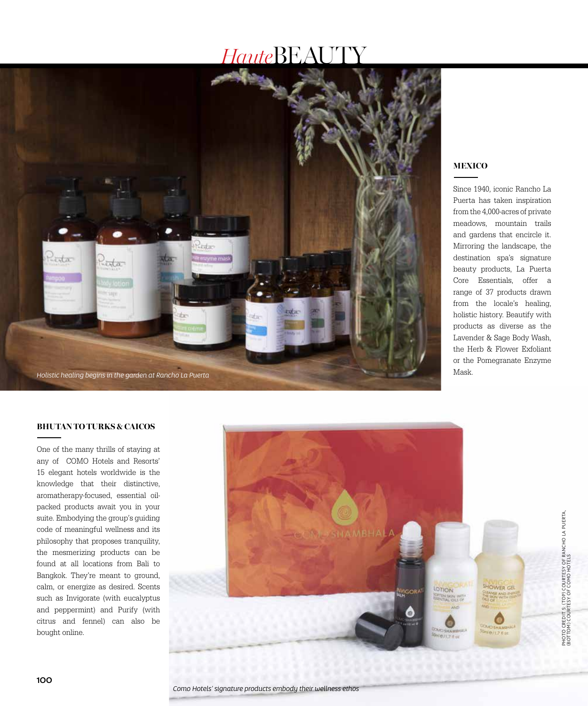### *Haute*BEA



### **MEXICO**

Since 1940, iconic Rancho La Puerta has taken inspiration from the 4,000-acres of private meadows, mountain trails and gardens that encircle it. Mirroring the landscape, the destination spa's signature beauty products, La Puerta Core Essentials, offer a range of 37 products drawn from the locale's healing, holistic history. Beautify with products as diverse as the Lavender & Sage Body Wash, the Herb & Flower Exfoliant or the Pomegranate Enzyme Mask.

### **BHUTAN TO TURKS & CAICOS**

One of the many thrills of staying at any of COMO Hotels and Resorts' 15 elegant hotels worldwide is the knowledge that their distinctive, aromatherapy-focused, essential oilpacked products await you in your suite. Embodying the group's guiding code of meaningful wellness and its philosophy that proposes tranquility, the mesmerizing products can be found at all locations from Bali to Bangkok. They're meant to ground, calm, or energize as desired. Scents such as Invigorate (with eucalyptus and peppermint) and Purify (with citrus and fennel) can also be bought online.